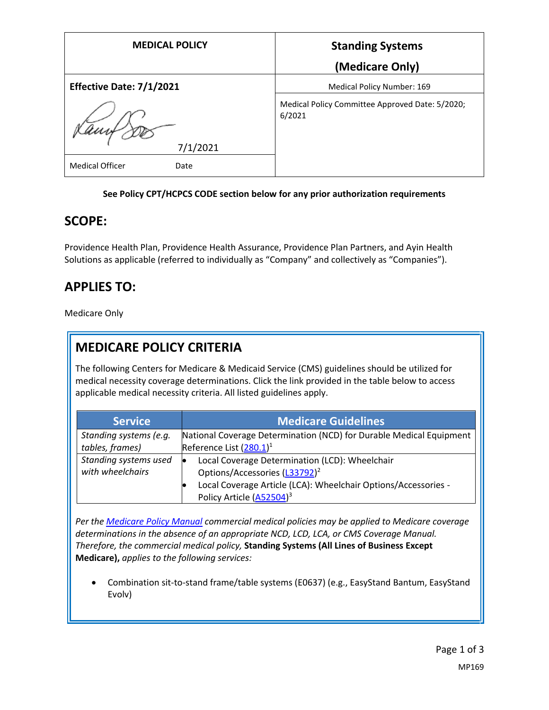| <b>MEDICAL POLICY</b>          | <b>Standing Systems</b>                                   |
|--------------------------------|-----------------------------------------------------------|
|                                | (Medicare Only)                                           |
| Effective Date: 7/1/2021       | Medical Policy Number: 169                                |
| 7/1/2021                       | Medical Policy Committee Approved Date: 5/2020;<br>6/2021 |
| <b>Medical Officer</b><br>Date |                                                           |

#### **See Policy CPT/HCPCS CODE section below for any prior authorization requirements**

### **SCOPE:**

Providence Health Plan, Providence Health Assurance, Providence Plan Partners, and Ayin Health Solutions as applicable (referred to individually as "Company" and collectively as "Companies").

## **APPLIES TO:**

Medicare Only

## **MEDICARE POLICY CRITERIA**

The following Centers for Medicare & Medicaid Service (CMS) guidelines should be utilized for medical necessity coverage determinations. Click the link provided in the table below to access applicable medical necessity criteria. All listed guidelines apply.

| <b>Service</b>                            | Medicare Guidelines                                                                                    |
|-------------------------------------------|--------------------------------------------------------------------------------------------------------|
| Standing systems (e.g.                    | National Coverage Determination (NCD) for Durable Medical Equipment                                    |
| tables, frames)                           | Reference List $(280.1)^1$                                                                             |
| Standing systems used<br>with wheelchairs | Local Coverage Determination (LCD): Wheelchair<br>Options/Accessories (L33792) <sup>2</sup>            |
|                                           | Local Coverage Article (LCA): Wheelchair Options/Accessories -<br>Policy Article (A52504) <sup>3</sup> |

*Per th[e Medicare Policy Manual](https://s3-us-west-2.amazonaws.com/images.provhealth.org/Providence-Images/PHP_PHA_Medical_Policy_CMS_Manual.pdf) commercial medical policies may be applied to Medicare coverage determinations in the absence of an appropriate NCD, LCD, LCA, or CMS Coverage Manual. Therefore, the commercial medical policy,* **Standing Systems (All Lines of Business Except Medicare),** *applies to the following services:*

 Combination sit-to-stand frame/table systems (E0637) (e.g., EasyStand Bantum, EasyStand Evolv)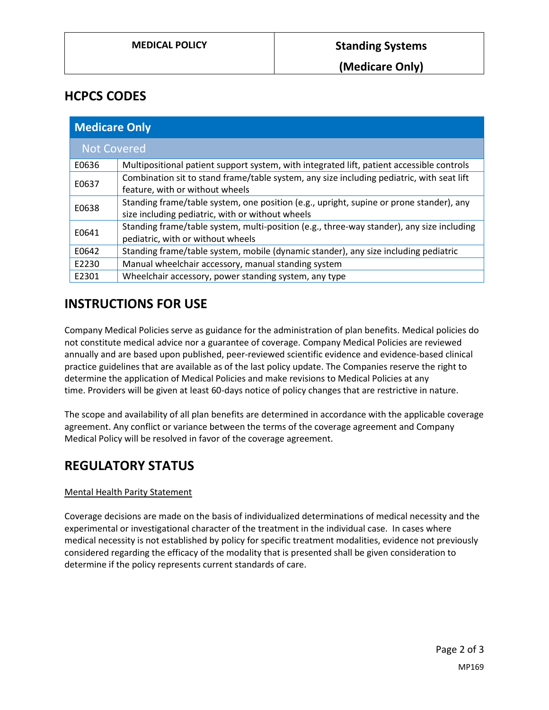### **HCPCS CODES**

| <b>Medicare Only</b> |                                                                                           |
|----------------------|-------------------------------------------------------------------------------------------|
| <b>Not Covered</b>   |                                                                                           |
| E0636                | Multipositional patient support system, with integrated lift, patient accessible controls |
| E0637                | Combination sit to stand frame/table system, any size including pediatric, with seat lift |
|                      | feature, with or without wheels                                                           |
| E0638                | Standing frame/table system, one position (e.g., upright, supine or prone stander), any   |
|                      | size including pediatric, with or without wheels                                          |
| E0641                | Standing frame/table system, multi-position (e.g., three-way stander), any size including |
|                      | pediatric, with or without wheels                                                         |
| E0642                | Standing frame/table system, mobile (dynamic stander), any size including pediatric       |
| E2230                | Manual wheelchair accessory, manual standing system                                       |
| E2301                | Wheelchair accessory, power standing system, any type                                     |

## **INSTRUCTIONS FOR USE**

Company Medical Policies serve as guidance for the administration of plan benefits. Medical policies do not constitute medical advice nor a guarantee of coverage. Company Medical Policies are reviewed annually and are based upon published, peer-reviewed scientific evidence and evidence-based clinical practice guidelines that are available as of the last policy update. The Companies reserve the right to determine the application of Medical Policies and make revisions to Medical Policies at any time. Providers will be given at least 60-days notice of policy changes that are restrictive in nature.

The scope and availability of all plan benefits are determined in accordance with the applicable coverage agreement. Any conflict or variance between the terms of the coverage agreement and Company Medical Policy will be resolved in favor of the coverage agreement.

# **REGULATORY STATUS**

#### Mental Health Parity Statement

Coverage decisions are made on the basis of individualized determinations of medical necessity and the experimental or investigational character of the treatment in the individual case. In cases where medical necessity is not established by policy for specific treatment modalities, evidence not previously considered regarding the efficacy of the modality that is presented shall be given consideration to determine if the policy represents current standards of care.